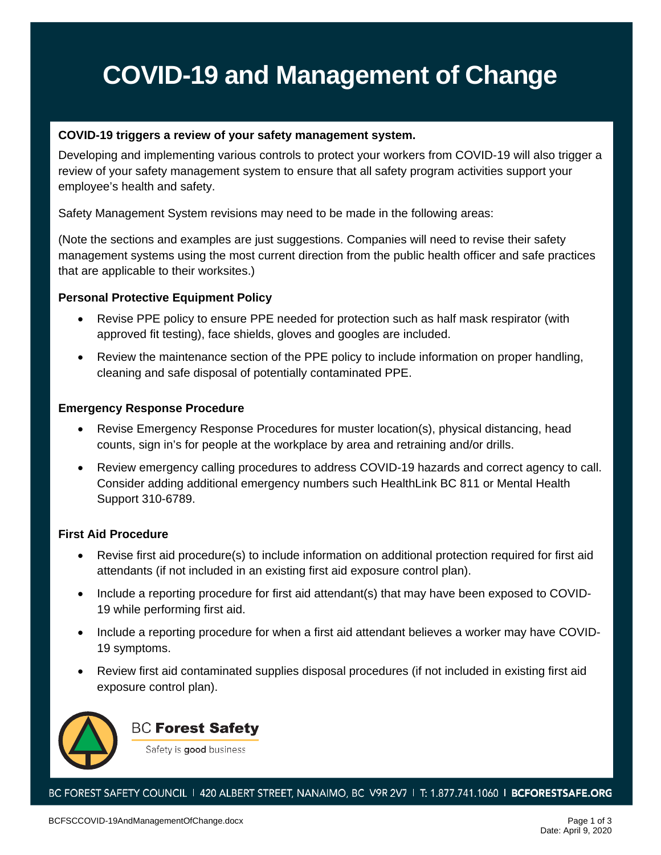# **COVID-19 and Management of Change**

### **COVID-19 triggers a review of your safety management system.**

Developing and implementing various controls to protect your workers from COVID-19 will also trigger a review of your safety management system to ensure that all safety program activities support your employee's health and safety.

Safety Management System revisions may need to be made in the following areas:

(Note the sections and examples are just suggestions. Companies will need to revise their safety management systems using the most current direction from the public health officer and safe practices that are applicable to their worksites.)

### **Personal Protective Equipment Policy**

- Revise PPE policy to ensure PPE needed for protection such as half mask respirator (with approved fit testing), face shields, gloves and googles are included.
- Review the maintenance section of the PPE policy to include information on proper handling, cleaning and safe disposal of potentially contaminated PPE.

### **Emergency Response Procedure**

- Revise Emergency Response Procedures for muster location(s), physical distancing, head counts, sign in's for people at the workplace by area and retraining and/or drills.
- Review emergency calling procedures to address COVID-19 hazards and correct agency to call. Consider adding additional emergency numbers such HealthLink BC 811 or Mental Health Support 310-6789.

### **First Aid Procedure**

- Revise first aid procedure(s) to include information on additional protection required for first aid attendants (if not included in an existing first aid exposure control plan).
- Include a reporting procedure for first aid attendant(s) that may have been exposed to COVID-19 while performing first aid.
- Include a reporting procedure for when a first aid attendant believes a worker may have COVID-19 symptoms.
- Review first aid contaminated supplies disposal procedures (if not included in existing first aid exposure control plan).



### **BC Forest Safety**

Safety is good business

BC FOREST SAFETY COUNCIL 1 420 ALBERT STREET, NANAIMO, BC V9R 2V7 1 T: 1.877.741.1060 1 BCFORESTSAFE.ORG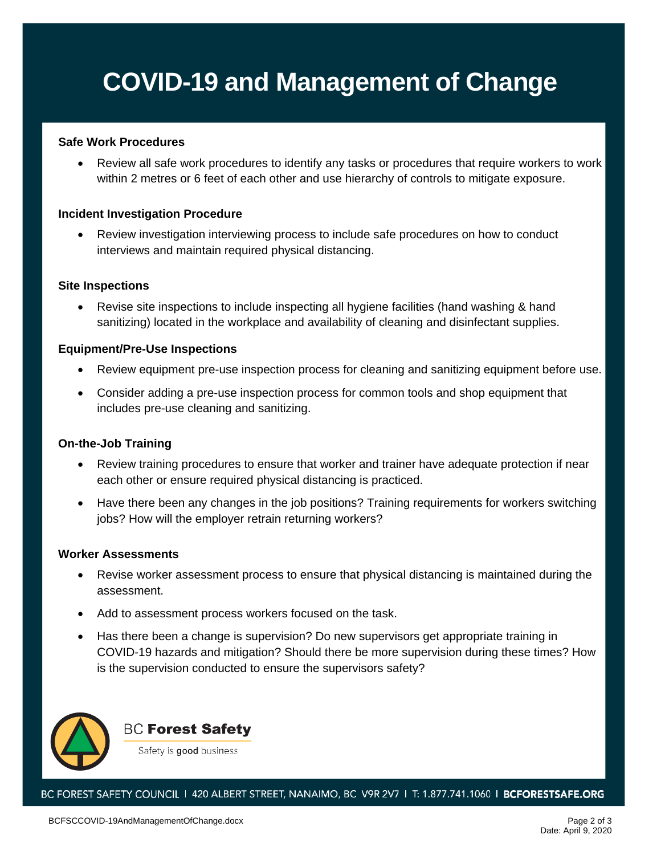## **COVID-19 and Management of Change**

#### **Safe Work Procedures**

• Review all safe work procedures to identify any tasks or procedures that require workers to work within 2 metres or 6 feet of each other and use hierarchy of controls to mitigate exposure.

#### **Incident Investigation Procedure**

• Review investigation interviewing process to include safe procedures on how to conduct interviews and maintain required physical distancing.

#### **Site Inspections**

• Revise site inspections to include inspecting all hygiene facilities (hand washing & hand sanitizing) located in the workplace and availability of cleaning and disinfectant supplies.

#### **Equipment/Pre-Use Inspections**

- Review equipment pre-use inspection process for cleaning and sanitizing equipment before use.
- Consider adding a pre-use inspection process for common tools and shop equipment that includes pre-use cleaning and sanitizing.

#### **On-the-Job Training**

- Review training procedures to ensure that worker and trainer have adequate protection if near each other or ensure required physical distancing is practiced.
- Have there been any changes in the job positions? Training requirements for workers switching jobs? How will the employer retrain returning workers?

#### **Worker Assessments**

- Revise worker assessment process to ensure that physical distancing is maintained during the assessment.
- Add to assessment process workers focused on the task.
- Has there been a change is supervision? Do new supervisors get appropriate training in COVID-19 hazards and mitigation? Should there be more supervision during these times? How is the supervision conducted to ensure the supervisors safety?



**BC Forest Safety** 

Safety is good business

BC FOREST SAFETY COUNCIL | 420 ALBERT STREET, NANAIMO, BC V9R 2V7 | T: 1.877.741.1060 | BCFORESTSAFE.ORG